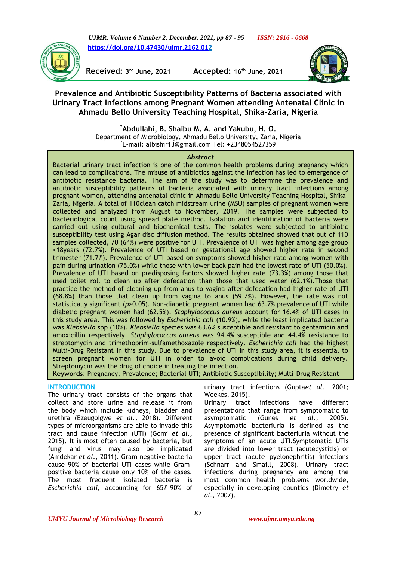*UJMR, Volume 6 Number 2, December, 2021, pp 87 - 95 ISSN: 2616 - 0668* **[https://doi.org/10.47430/ujmr.2162.012](https://doi.org/10.47430/ujmr.2162.01)**



**Received: 3**

**rd June, 2021 Accepted: 16th June, 2021**



**Prevalence and Antibiotic Susceptibility Patterns of Bacteria associated with Urinary Tract Infections among Pregnant Women attending Antenatal Clinic in Ahmadu Bello University Teaching Hospital, Shika-Zaria, Nigeria**

> **\*Abdullahi, B. Shaibu M. A. and Yakubu, H. O.** Department of Microbiology, Ahmadu Bello University, Zaria, Nigeria \*E-mail: [albishir13@gmail.com](mailto:albishir13@gmail.com) Tel: +2348054527359

### *Abstract*

Bacterial urinary tract infection is one of the common health problems during pregnancy which can lead to complications. The misuse of antibiotics against the infection has led to emergence of antibiotic resistance bacteria. The aim of the study was to determine the prevalence and antibiotic susceptibility patterns of bacteria associated with urinary tract infections among pregnant women, attending antenatal clinic in Ahmadu Bello University Teaching Hospital, Shika-Zaria, Nigeria. A total of 110clean catch midstream urine (MSU) samples of pregnant women were collected and analyzed from August to November, 2019. The samples were subjected to bacteriological count using spread plate method. Isolation and identification of bacteria were carried out using cultural and biochemical tests. The isolates were subjected to antibiotic susceptibility test using Agar disc diffusion method. The results obtained showed that out of 110 samples collected, 70 (64%) were positive for UTI. Prevalence of UTI was higher among age group <18years (72.7%). Prevalence of UTI based on gestational age showed higher rate in second trimester (71.7%). Prevalence of UTI based on symptoms showed higher rate among women with pain during urination (75.0%) while those with lower back pain had the lowest rate of UTI (50.0%). Prevalence of UTI based on predisposing factors showed higher rate (73.3%) among those that used toilet roll to clean up after defecation than those that used water (62.1%).Those that practice the method of cleaning up from anus to vagina after defecation had higher rate of UTI (68.8%) than those that clean up from vagina to anus (59.7%). However, the rate was not statistically significant (*p*>0.05). Non-diabetic pregnant women had 63.7% prevalence of UTI while diabetic pregnant women had (62.5%). *Staphylococcus aureus* account for 16.4% of UTI cases in this study area. This was followed by *Escherichia coli* (10.9%), while the least implicated bacteria was *Klebsiella* spp (10%). *Klebsiella* species was 63.6% susceptible and resistant to gentamicin and amoxicillin respectively. *Staphylococcus aureus* was 94.4% susceptible and 44.4% resistance to streptomycin and trimethoprim-sulfamethoxazole respectively*. Escherichia coli* had the highest Multi-Drug Resistant in this study. Due to prevalence of UTI in this study area, it is essential to screen pregnant women for UTI in order to avoid complications during child delivery. Streptomycin was the drug of choice in treating the infection.

**Keywords**: Pregnancy; Prevalence; Bacterial UTI; Antibiotic Susceptibility; Multi-Drug Resistant

### **INTRODUCTION**

The urinary tract consists of the organs that collect and store urine and release it from the body which include kidneys, bladder and urethra (Ezeugoigwe *et al.,* 2018). Different types of microorganisms are able to invade this tract and cause infection (UTI) (Gomi *et al.,*  2015). It is most often caused by bacteria, but fungi and virus may also be implicated (Amdekar *et al.,* 2011). Gram-negative bacteria cause 90% of bacterial UTI cases while Grampositive bacteria cause only 10% of the cases. The most frequent isolated bacteria is *Escherichia coli*, accounting for 65%–90% of

urinary tract infections (Gupta*et al.,* 2001; Weekes, 2015).

Urinary tract infections have different presentations that range from symptomatic to asymptomatic (Gunes *et al.,* 2005). Asymptomatic bacteriuria is defined as the presence of significant bacteriuria without the symptoms of an acute UTI.Symptomatic UTIs are divided into lower tract (acutecystitis) or upper tract (acute pyelonephritis) infections (Schnarr and Smaill, 2008). Urinary tract infections during pregnancy are among the most common health problems worldwide, especially in developing counties (Dimetry *et al.,* 2007).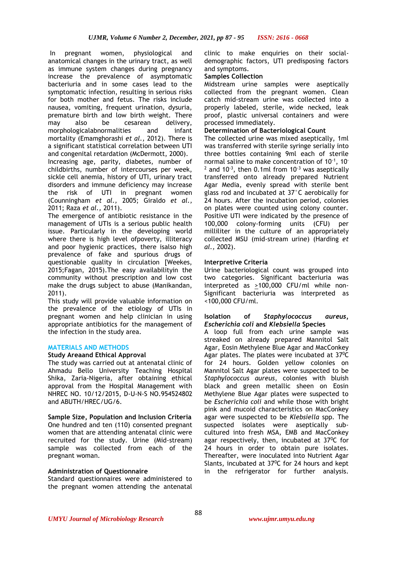In pregnant women, physiological and anatomical changes in the urinary tract, as well as immune system changes during pregnancy increase the prevalence of asymptomatic bacteriuria and in some cases lead to the symptomatic infection, resulting in serious risks for both mother and fetus. The risks include nausea, vomiting, frequent urination, dysuria, premature birth and low birth weight. There may also be cesarean delivery, morphologicalabnormalities and infant mortality (Emamghorashi *et al.,* 2012). There is a significant statistical correlation between UTI and congenital retardation (McDermott, 2000).

Increasing age, parity, diabetes, number of childbirths, number of intercourses per week, sickle cell anemia, history of UTI, urinary tract disorders and immune deficiency may increase the risk of UTI in pregnant women (Counningham *et al.,* 2005; Giraldo *et al.,*  2011; Raza *et al.,* 2011).

The emergence of antibiotic resistance in the management of UTIs is a serious public health issue. Particularly in the developing world where there is high level ofpoverty, illiteracy and poor hygienic practices, there isalso high prevalence of fake and spurious drugs of questionable quality in circulation [Weekes, 2015;Fagan, 2015).The easy availabilityin the community without prescription and low cost make the drugs subject to abuse (Manikandan, 2011).

This study will provide valuable information on the prevalence of the etiology of UTIs in pregnant women and help clinician in using appropriate antibiotics for the management of the infection in the study area.

# **MATERIALS AND METHODS**

### **Study Areaand Ethical Approval**

The study was carried out at antenatal clinic of Ahmadu Bello University Teaching Hospital Shika, Zaria-Nigeria, after obtaining ethical approval from the Hospital Management with NHREC NO. 10/12/2015, D-U-N-S NO.954524802 and ABUTH/HREC/UG/6.

**Sample Size, Population and Inclusion Criteria** One hundred and ten (110) consented pregnant women that are attending antenatal clinic were recruited for the study. Urine (Mid-stream) sample was collected from each of the pregnant woman.

### **Administration of Questionnaire**

Standard questionnaires were administered to the pregnant women attending the antenatal clinic to make enquiries on their socialdemographic factors, UTI predisposing factors and symptoms.

### **Samples Collection**

Midstream urine samples were aseptically collected from the pregnant women. Clean catch mid-stream urine was collected into a properly labeled, sterile, wide necked, leak proof, plastic universal containers and were processed immediately.

## **Determination of Bacteriological Count**

The collected urine was mixed aseptically, 1ml was transferred with sterile syringe serially into three bottles containing 9ml each of sterile normal saline to make concentration of  $10^{-1}$ , 10<sup>-</sup>  $2$  and 10<sup>-3</sup>, then 0.1ml from 10<sup>-3</sup> was aseptically transferred onto already prepared Nutrient Agar Media, evenly spread with sterile bent glass rod and incubated at 37°C aerobically for 24 hours. After the incubation period, colonies on plates were counted using colony counter. Positive UTI were indicated by the presence of 100,000 colony-forming units (CFU) per milliliter in the culture of an appropriately collected MSU (mid-stream urine) (Harding *et al.,* 2002).

## **Interpretive Criteria**

Urine bacteriological count was grouped into two categories. Significant bacteriuria was interpreted as >100,000 CFU/ml while non-Significant bacteriuria was interpreted as <100,000 CFU/ml.

#### **Isolation of** *Staphylococcus aureus, Escherichia coli* **and** *Klebsiella* **Species**

A loop full from each urine sample was streaked on already prepared Mannitol Salt Agar, Eosin Methylene Blue Agar and MacConkey Agar plates. The plates were incubated at  $37^{\circ}$ C for 24 hours. Golden yellow colonies on Mannitol Salt Agar plates were suspected to be *Staphylococcus aureus*, colonies with bluish black and green metallic sheen on Eosin Methylene Blue Agar plates were suspected to be *Escherichia coli* and while those with bright pink and mucoid characteristics on MacConkey agar were suspected to be *Klebsiella* spp. The suspected isolates were aseptically subcultured into fresh MSA, EMB and MacConkey agar respectively, then, incubated at  $37^{\circ}$ C for 24 hours in order to obtain pure isolates. Thereafter, were inoculated into Nutrient Agar Slants, incubated at  $37^{\circ}$ C for 24 hours and kept in the refrigerator for further analysis.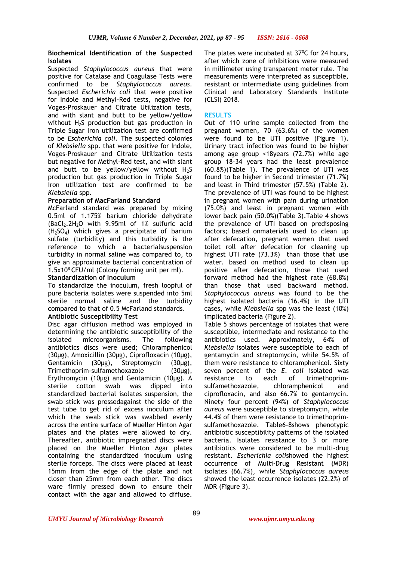## **Biochemical Identification of the Suspected Isolates**

Suspected *Staphylococcus aureus* that were positive for Catalase and Coagulase Tests were confirmed to be *Staphylococcus aureus*. Suspected *Escherichia coli* that were positive for Indole and Methyl-Red tests, negative for Voges-Proskauer and Citrate Utilization tests, and with slant and butt to be yellow/yellow without  $H_2S$  production but gas production in Triple Sugar Iron utilization test are confirmed to be *Escherichia coli.* The suspected colonies of *Klebsiella* spp. that were positive for Indole, Voges-Proskauer and Citrate Utilization tests but negative for Methyl-Red test, and with slant and butt to be yellow/yellow without  $H_2S$ production but gas production in Triple Sugar Iron utilization test are confirmed to be *Klebsiella* spp.

## **Preparation of MacFarland Standard**

McFarland standard was prepared by mixing 0.5ml of 1.175% barium chloride dehydrate  $(BaCl<sub>2</sub>, 2H<sub>2</sub>O$  with 9.95ml of 1% sulfuric acid (H2SO4) which gives a precipitate of barium sulfate (turbidity) and this turbidity is the reference to which a bacterialsuspension turbidity in normal saline was compared to, to give an approximate bacterial concentration of 1.5x10<sup>8</sup> CFU/ml (Colony forming unit per ml).

## **Standardization of Inoculum**

To standardize the inoculum, fresh loopful of pure bacteria isolates were suspended into 5ml sterile normal saline and the turbidity compared to that of 0.5 McFarland standards.

# **Antibiotic Susceptibility Test**

Disc agar diffusion method was employed in determining the antibiotic susceptibility of the isolated microorganisms. The following antibiotics discs were used; Chloramphenicol (30µg), Amoxicillin (30µg), Ciprofloxacin (10µg), Gentamicin (30µg), Streptomycin (30µg), Trimethoprim-sulfamethoxazole (30µg), Erythromycin (10µg) and Gentamicin (10µg). A sterile cotton swab was dipped into standardized bacterial isolates suspension, the swab stick was pressedagainst the side of the test tube to get rid of excess inoculum after which the swab stick was swabbed evenly across the entire surface of Mueller Hinton Agar plates and the plates were allowed to dry. Thereafter, antibiotic impregnated discs were placed on the Mueller Hinton Agar plates containing the standardized inoculum using sterile forceps. The discs were placed at least 15mm from the edge of the plate and not closer than 25mm from each other. The discs ware firmly pressed down to ensure their contact with the agar and allowed to diffuse.

The plates were incubated at  $37^{\circ}$ C for 24 hours, after which zone of inhibitions were measured in millimeter using transparent meter rule. The measurements were interpreted as susceptible, resistant or intermediate using guidelines from Clinical and Laboratory Standards Institute (CLSI) 2018.

## **RESULTS**

Out of 110 urine sample collected from the pregnant women, 70 (63.6%) of the women were found to be UTI positive (Figure 1). Urinary tract infection was found to be higher among age group <18years (72.7%) while age group 18-34 years had the least prevalence (60.8%)(Table 1). The prevalence of UTI was found to be higher in Second trimester (71.7%) and least in Third trimester (57.5%) (Table 2). The prevalence of UTI was found to be highest in pregnant women with pain during urination (75.0%) and least in pregnant women with lower back pain (50.0%)(Table 3).Table 4 shows the prevalence of UTI based on predisposing factors; based onmaterials used to clean up after defecation, pregnant women that used toilet roll after defecation for cleaning up highest UTI rate (73.3%) than those that use water. based on method used to clean up positive after defecation, those that used forward method had the highest rate (68.8%) than those that used backward method. *Staphylococcus aureus* was found to be the highest isolated bacteria (16.4%) in the UTI cases, while *Klebsiella* spp was the least (10%) implicated bacteria (Figure 2).

Table 5 shows percentage of isolates that were susceptible, intermediate and resistance to the antibiotics used. Approximately, 64% of *Klebsiella* isolates were susceptible to each of gentamycin and streptomycin, while 54.5% of them were resistance to chloramphenicol. Sixty seven percent of the *E. coli* isolated was<br>resistance to each of trimethoprimresistance to each of trimethoprimsulfamethoxazole, chloramphenicol and ciprofloxacin, and also 66.7% to gentamycin. Ninety four percent (94%) of *Staphylococcus aureus* were susceptible to streptomycin, while 44.4% of them were resistance to trimethoprimsulfamethoxazole. Table6-8shows phenotypic antibiotic susceptibility patterns of the isolated bacteria. Isolates resistance to 3 or more antibiotics were considered to be multi-drug resistant. *Escherichia coli*showed the highest occurrence of Multi-Drug Resistant (MDR) isolates (66.7%), while *Staphylococcus aureus* showed the least occurrence isolates (22.2%) of MDR (Figure 3).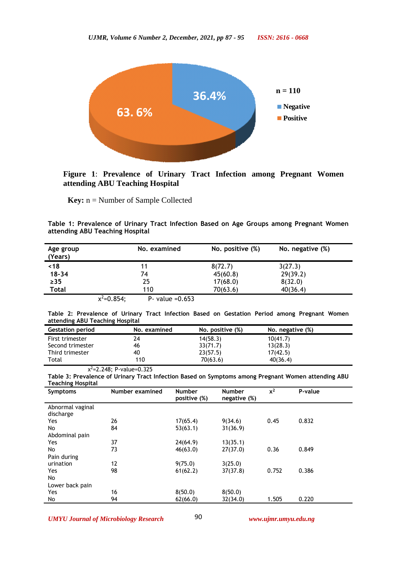

**Figure 1**: **Prevalence of Urinary Tract Infection among Pregnant Women attending ABU Teaching Hospital**

**Key:** n = Number of Sample Collected

| Table 1: Prevalence of Urinary Tract Infection Based on Age Groups among Pregnant Women |  |  |  |  |  |
|-----------------------------------------------------------------------------------------|--|--|--|--|--|
| attending ABU Teaching Hospital                                                         |  |  |  |  |  |

| Age group<br>(Years) | No. examined                         | No. positive (%) | No. negative (%) |
|----------------------|--------------------------------------|------------------|------------------|
| ~18                  | 11                                   | 8(72.7)          | 3(27.3)          |
| $18 - 34$            | 74                                   | 45(60.8)         | 29(39.2)         |
| $\geq$ 35            | 25                                   | 17(68.0)         | 8(32.0)          |
| <b>Total</b>         | 110                                  | 70(63.6)         | 40(36.4)         |
|                      | $x^2=0.854$ ;<br>$P - value = 0.653$ |                  |                  |

| Table 2: Prevalence of Urinary Tract Infection Based on Gestation Period among Pregnant Women |  |  |  |  |  |  |
|-----------------------------------------------------------------------------------------------|--|--|--|--|--|--|
| attending ABU Teaching Hospital                                                               |  |  |  |  |  |  |

| <b>Gestation period</b> | No. examined | No. positive (%) | No. negative (%) |
|-------------------------|--------------|------------------|------------------|
| First trimester         | 24           | 14(58.3)         | 10(41.7)         |
| Second trimester        | 46           | 33(71.7)         | 13(28.3)         |
| Third trimester         | 40           | 23(57.5)         | 17(42.5)         |
| Total                   | 110          | 70(63.6)         | 40(36.4)         |

χ <sup>2</sup>=2.248; P-value=0.325

**Table 3: Prevalence of Urinary Tract Infection Based on Symptoms among Pregnant Women attending ABU Teaching Hospital**

| <b>Symptoms</b>  | Number examined | <b>Number</b><br>positive (%) | <b>Number</b><br>negative (%) | $x^2$ | P-value |
|------------------|-----------------|-------------------------------|-------------------------------|-------|---------|
| Abnormal vaginal |                 |                               |                               |       |         |
| discharge        |                 |                               |                               |       |         |
| Yes              | 26              | 17(65.4)                      | 9(34.6)                       | 0.45  | 0.832   |
| No               | 84              | 53(63.1)                      | 31(36.9)                      |       |         |
| Abdominal pain   |                 |                               |                               |       |         |
| Yes              | 37              | 24(64.9)                      | 13(35.1)                      |       |         |
| No               | 73              | 46(63.0)                      | 27(37.0)                      | 0.36  | 0.849   |
| Pain during      |                 |                               |                               |       |         |
| urination        | 12              | 9(75.0)                       | 3(25.0)                       |       |         |
| Yes              | 98              | 61(62.2)                      | 37(37.8)                      | 0.752 | 0.386   |
| No               |                 |                               |                               |       |         |
| Lower back pain  |                 |                               |                               |       |         |
| Yes              | 16              | 8(50.0)                       | 8(50.0)                       |       |         |
| No               | 94              | 62(66.0)                      | 32(34.0)                      | 1.505 | 0.220   |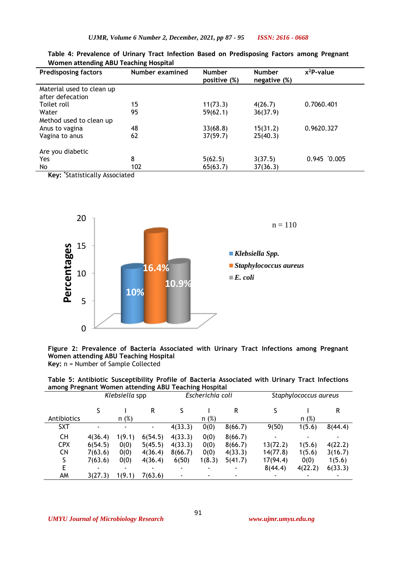| <b>Predisposing factors</b>                   | Number examined | <b>Number</b><br>positive (%) | <b>Number</b><br>negative (%) | $x^2P$ -value |
|-----------------------------------------------|-----------------|-------------------------------|-------------------------------|---------------|
| Material used to clean up<br>after defecation |                 |                               |                               |               |
| Toilet roll                                   | 15              | 11(73.3)                      | 4(26.7)                       | 0.7060.401    |
| Water                                         | 95              | 59(62.1)                      | 36(37.9)                      |               |
| Method used to clean up                       |                 |                               |                               |               |
| Anus to vagina                                | 48              | 33(68.8)                      | 15(31.2)                      | 0.9620.327    |
| Vagina to anus                                | 62              | 37(59.7)                      | 25(40.3)                      |               |
| Are you diabetic                              |                 |                               |                               |               |
| Yes                                           | 8               | 5(62.5)                       | 3(37.5)                       | $0.945$ 0.005 |
| No.                                           | 102             | 65(63.7)                      | 37(36.3)                      |               |
| Kaus <sup>*</sup> Ctatistically Accorporad    |                 |                               |                               |               |

**Table 4: Prevalence of Urinary Tract Infection Based on Predisposing Factors among Pregnant Women attending ABU Teaching Hospital**

**Key: \***Statistically Associated



### **Figure 2: Prevalence of Bacteria Associated with Urinary Tract Infections among Pregnant Women attending ABU Teaching Hospital Key:** n = Number of Sample Collected

**Table 5: Antibiotic Susceptibility Profile of Bacteria Associated with Urinary Tract Infections among Pregnant Women attending ABU Teaching Hospital**

|             | Klebsiella spp |                | Escherichia coli |                          |        | Staphylococcus aureus |          |         |         |
|-------------|----------------|----------------|------------------|--------------------------|--------|-----------------------|----------|---------|---------|
|             |                |                | R                |                          |        | R                     |          |         | R       |
| Antibiotics |                | n(%)           |                  |                          | n(%)   |                       |          | n(%)    |         |
| <b>SXT</b>  |                | $\blacksquare$ | ۰                | 4(33.3)                  | 0(0)   | 8(66.7)               | 9(50)    | 1(5.6)  | 8(44.4) |
| CН          | 4(36.4)        | 1(9.1)         | 6(54.5)          | 4(33.3)                  | 0(0)   | 8(66.7)               |          |         |         |
| <b>CPX</b>  | 6(54.5)        | 0(0)           | 5(45.5)          | 4(33.3)                  | 0(0)   | 8(66.7)               | 13(72.2) | 1(5.6)  | 4(22.2) |
| CN          | 7(63.6)        | 0(0)           | 4(36.4)          | 8(66.7)                  | 0(0)   | 4(33.3)               | 14(77.8) | 1(5.6)  | 3(16.7) |
| S           | 7(63.6)        | 0(0)           | 4(36.4)          | 6(50)                    | 1(8.3) | 5(41.7)               | 17(94.4) | 0(0)    | 1(5.6)  |
| E           |                |                |                  | $\overline{\phantom{0}}$ |        | ٠                     | 8(44.4)  | 4(22.2) | 6(33.3) |
| AM          | 3(27.3)        | 1(9.1)         | 7(63.6)          |                          |        | ٠                     |          |         | ۰       |

*UMYU Journal of Microbiology Research www.ujmr.umyu.edu.ng*

91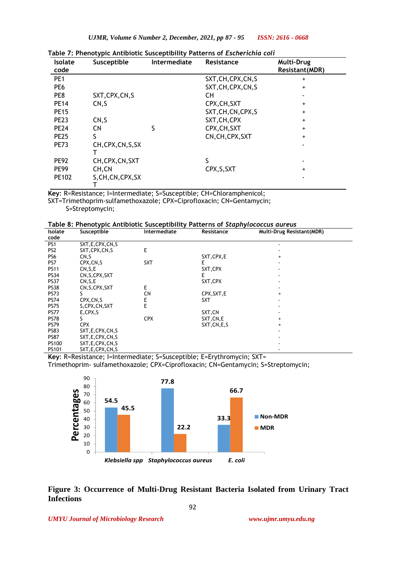| <b>Isolate</b><br>code | Susceptible        | Intermediate | Resistance          | <b>Multi-Drug</b><br><b>Resistant(MDR)</b> |
|------------------------|--------------------|--------------|---------------------|--------------------------------------------|
| PE <sub>1</sub>        |                    |              | SXT, CH, CPX, CN, S | $\ddot{}$                                  |
| PE <sub>6</sub>        |                    |              | SXT, CH, CPX, CN, S | $+$                                        |
| PE8                    | SXT, CPX, CN, S    |              | CН                  |                                            |
| <b>PE14</b>            | CN,S               |              | CPX, CH, SXT        | $\ddot{}$                                  |
| <b>PE15</b>            |                    |              | SXT, CH, CN, CPX, S | +                                          |
| <b>PE23</b>            | CN, S              |              | SXT, CH, CPX        | +                                          |
| <b>PE24</b>            | <b>CN</b>          | S            | CPX, CH, SXT        | $+$                                        |
| <b>PE25</b>            | S                  |              | CN, CH, CPX, SXT    | $+$                                        |
| <b>PE73</b>            | CH, CPX, CN, S, SX |              |                     |                                            |
| <b>PE92</b>            | CH, CPX, CN, SXT   |              | S                   |                                            |
| <b>PE99</b>            | CH, CN             |              | CPX, S, SXT         | $\ddot{}$                                  |
| PE102                  | S, CH, CN, CPX, SX |              |                     |                                            |

**Table 7: Phenotypic Antibiotic Susceptibility Patterns of** *Escherichia coli*

**Key**: R=Resistance; I=Intermediate; S=Susceptible; CH=Chloramphenicol; SXT=Trimethoprim-sulfamethoxazole; CPX=Ciprofloxacin; CN=Gentamycin;

S=Streptomycin;

**Table 8: Phenotypic Antibiotic Susceptibility Patterns of** *Staphylococcus aureus*

| <b>Isolate</b>  | Susceptible        | rapic of memorypic American Sascepersing meterins or staphytococcas aar cas<br>Intermediate | Resistance    | Multi-Drug Resistant(MDR) |  |
|-----------------|--------------------|---------------------------------------------------------------------------------------------|---------------|---------------------------|--|
| code            |                    |                                                                                             |               |                           |  |
| PS <sub>1</sub> | SXT, E, CPX, CN, S |                                                                                             |               |                           |  |
| PS <sub>2</sub> | SXT, CPX, CN, S    | E                                                                                           |               |                           |  |
| PS6             | CN <sub>.</sub> S  |                                                                                             | SXT, CPX, E   | $^{+}$                    |  |
| PS7             | CPX, CN, S         | <b>SXT</b>                                                                                  | E             |                           |  |
| <b>PS11</b>     | CN, S, E           |                                                                                             | SXT, CPX      |                           |  |
| <b>PS34</b>     | CN, S, CPX, SXT    |                                                                                             | Ε             |                           |  |
| <b>PS37</b>     | CN, S, E           |                                                                                             | SXT, CPX      |                           |  |
| <b>PS38</b>     | CN, S, CPX, SXT    | E                                                                                           |               |                           |  |
| <b>PS73</b>     |                    | <b>CN</b>                                                                                   | CPX, SXT, E   | $\ddot{}$                 |  |
| <b>PS74</b>     | CPX, CN, S         | E                                                                                           | <b>SXT</b>    |                           |  |
| <b>PS75</b>     | S, CPX, CN, SXT    | E                                                                                           |               |                           |  |
| <b>PS77</b>     | E,CPX,S            |                                                                                             | SXT,CN        |                           |  |
| <b>PS78</b>     |                    | <b>CPX</b>                                                                                  | SXT, CN, E    | $\ddot{}$                 |  |
| <b>PS79</b>     | <b>CPX</b>         |                                                                                             | SXT, CN, E, S | $\ddot{}$                 |  |
| <b>PS83</b>     | SXT, E, CPX, CN, S |                                                                                             |               |                           |  |
| <b>PS87</b>     | SXT, E, CPX, CN, S |                                                                                             |               |                           |  |
| PS100           | SXT, E, CPX, CN, S |                                                                                             |               |                           |  |
| PS101           | SXT, E, CPX, CN, S |                                                                                             |               |                           |  |
| $\cdot$ $\cdot$ |                    | $\cdots$<br>$\sim$ $\sim$                                                                   | $-1$<br>- - - | $\sim$ $\sim$             |  |

**Key**: R=Resistance; I=Intermediate; S=Susceptible; E=Erythromycin; SXT=

Trimethoprim- sulfamethoxazole; CPX=Ciprofloxacin; CN=Gentamycin; S=Streptomycin;



**Figure 3: Occurrence of Multi-Drug Resistant Bacteria Isolated from Urinary Tract Infections**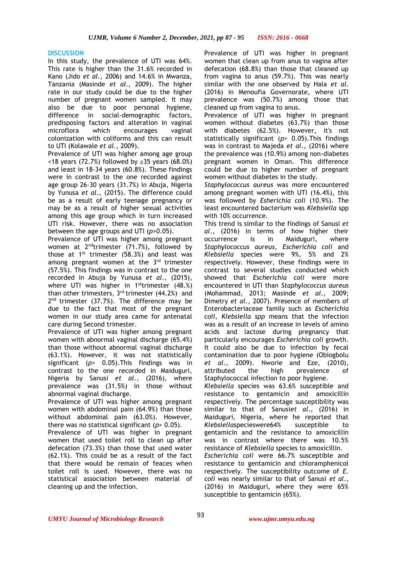#### **DISCUSSION**

In this study, the prevalence of UTI was 64%. This rate is higher than the 31.6% recorded in Kano (Jido *et al*., 2006) and 14.6% in Mwanza, Tanzania (Masinde *et al*., 2009). The higher rate in our study could be due to the higher number of pregnant women sampled. It may also be due to poor personal hygiene, difference in social-demographic factors, predisposing factors and alteration in vaginal microflora which encourages vaginal colonization with coliforms and this can result to UTI (Kolawale *et al*., 2009).

Prevalence of UTI was higher among age group <18 years (72.7%) followed by ≥35 years (68.0%) and least in 18-34 years (60.8%). These findings were in contrast to the one recorded against age group 26-30 years (31.7%) in Abuja, Nigeria by Yunusa *et al.,* (2015). The difference could be as a result of early teenage pregnancy or may be as a result of higher sexual activities among this age group which in turn increased UTI risk. However, there was no association between the age groups and UTI (*p*>0.05).

Prevalence of UTI was higher among pregnant women at 2<sup>nd</sup>trimester (71.7%), followed by those at  $1^{st}$  trimester (58.3%) and least was among pregnant women at the 3<sup>rd</sup> trimester (57.5%). This findings was in contrast to the one recorded in Abuja by Yunusa *et al.,* (2015), where UTI was higher in 1<sup>st</sup>trimester (48.%) than other trimesters,  $3<sup>rd</sup>$  trimester (44.2%) and 2<sup>nd</sup> trimester (37.7%). The difference may be due to the fact that most of the pregnant women in our study area came for antenatal care during Second trimester.

Prevalence of UTI was higher among pregnant women with abnormal vaginal discharge (65.4%) than those without abnormal vaginal discharge (63.1%). However, it was not statistically significant (*p*> 0.05).This findings was in contrast to the one recorded in Maiduguri, Nigeria by Sanusi *et al*., (2016), where prevalence was (31.5%) in those without abnormal vaginal discharge.

Prevalence of UTI was higher among pregnant women with abdominal pain (64.9%) than those without abdominal pain (63.0%). However, there was no statistical significant (*p*> 0.05)*.*

Prevalence of UTI was higher in pregnant women that used toilet roll to clean up after defecation (73.3%) than those that used water (62.1%). This could be as a result of the fact that there would be remain of feaces when toilet roll is used. However, there was no statistical association between material of cleaning up and the infection.

Prevalence of UTI was higher in pregnant women that clean up from anus to vagina after defecation (68.8%) than those that cleaned up from vagina to anus (59.7%). This was nearly similar with the one observed by Hala *et al.*  (2016) in Menoufia Governorate, where UTI prevalence was (50.7%) among those that cleaned up from vagina to anus.

Prevalence of UTI was higher in pregnant women without diabetes (63.7%) than those with diabetes (62.5%). However, it's not statistically significant (*p*> 0.05).This findings was in contrast to Majeda *et al*., (2016) where the prevalence was (10.9%) among non-diabetes pregnant women in Oman. This difference could be due to higher number of pregnant women without diabetes in the study.

*Staphylococcus aureus* was more encountered among pregnant women with UTI (16.4%), this was followed by *Esherichia coli* (10.9%). The least encountered bacterium was *Klebsiella* spp with 10% occurrence.

This trend is similar to the findings of Sanusi *et al*., (2016) in terms of how higher their occurrence is in Maiduguri, where *Staphylococcus aureus*, *Escherichia coli* and *Klebsiella* species were 9%, 5% and 2% respectively. However, these findings were in contrast to several studies conducted which showed that *Escherichia coli* were more encountered in UTI than *Staphylococcus aureus* (Mohammad, 2013; Masinde *et al*., 2009; Dimetry *et al*., 2007). Presence of members of Enterobacteriaceae family such as *Escherichia coli, Klebsiella spp* means that the infection was as a result of an increase in levels of amino acids and lactose during pregnancy that particularly encourages *Escherichia coli* growth. It could also be due to infection by fecal contamination due to poor hygiene (Obiogbolu *et al*., 2009). Nworie and Eze, (2010), attributed the high prevalence of Staphylococcal infection to poor hygiene.

*Klebsiella* species was 63.6% susceptible and resistance to gentamicin and amoxicillin respectively. The percentage susceptibility was similar to that of Sanusi*et al*., (2016) in Maiduguri, Nigeria, where he reported that *Klebsiella*specieswere64% susceptible to gentamicin and the resistance to amoxicillin was in contrast where there was 10.5% resistance of *Klebsiella* species to amoxicillin. *Escherichia coli* were 66.7% susceptible and resistance to gentamicin and chloramphenicol respectively. The susceptibility outcome of *E. coli* was nearly similar to that of Sanusi *et al*., (2016) in Maiduguri, where they were 65% susceptible to gentamicin (65%).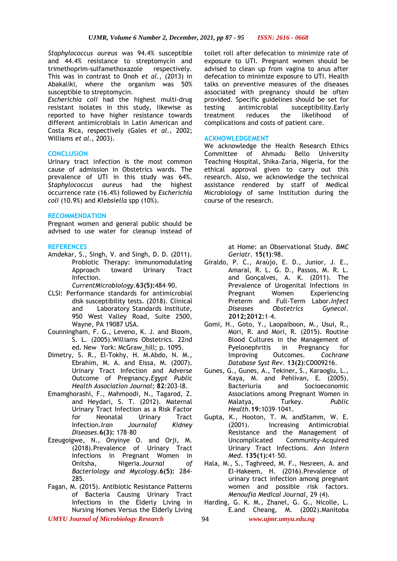*Staphylococcus aureus* was 94.4% susceptible and 44.4% resistance to streptomycin and trimethoprim-sulfamethoxazole respectively. This was in contrast to Onoh *et al*., (2013) in Abakaliki, where the organism was 50% susceptible to streptomycin.

*Escherichia coli* had the highest multi-drug resistant isolates in this study, likewise as reported to have higher resistance towards different antimicrobials in Latin American and Costa Rica, respectively (Gales *et al.,* 2002; Williams *et al*., 2003).

#### **CONCLUSION**

Urinary tract infection is the most common cause of admission in Obstetrics wards. The prevalence of UTI in this study was 64%. *Staphylococcus aureus* had the highest occurrence rate (16.4%) followed by *Escherichia coli* (10.9%) and *Klebsiella* spp (10%).

#### **RECOMMENDATION**

Pregnant women and general public should be advised to use water for cleanup instead of

#### **REFERENCES**

Amdekar, S., Singh, V. and Singh, D. D. (2011). Probiotic Therapy: Immunomodulating Approach toward Urinary Tract Infection.

*CurrentMicrobiology*.**63(5):**484–90.

- CLSI: Performance standards for antimicrobial disk susceptibility tests. (2018). Clinical and Laboratory Standards Institute, 950 West Valley Road, Suite 2500, Wayne, PA 19087 USA.
- Counningham, F. G., Leveno, K. J. and Bloom, S. L. (2005).Williams Obstetrics. 22nd ed. New York: McGraw hill; p. 1095.
- Dimetry, S. R., El-Tokhy, H. M.Abdo, N. M., Ebrahim, M. A. and Eissa, M. (2007). Urinary Tract Infection and Adverse Outcome of Pregnancy.*Egypt Public Health Association Journal*; **82**:203–l8.
- Emamghorashi, F., Mahmoodi, N., Tagarod, Z. and Heydari, S. T. (2012). Maternal Urinary Tract Infection as a Risk Factor for Neonatal Urinary Tract Infection.*Iran Journalof Kidney Diseases.***6(3):** 178–80
- Ezeugoigwe, N., Onyinye O. and Orji, M. (2018).Prevalence of Urinary Tract Infections in Pregnant Women in Onitsha, Nigeria.*Journal of Bacteriology and Mycology*.**6(5):** 284- 285.
- Fagan, M. (2015). Antibiotic Resistance Patterns of Bacteria Causing Urinary Tract Infections in the Elderly Living in Nursing Homes Versus the Elderly Living

toilet roll after defecation to minimize rate of exposure to UTI. Pregnant women should be advised to clean up from vagina to anus after defecation to minimize exposure to UTI. Health talks on preventive measures of the diseases associated with pregnancy should be often provided. Specific guidelines should be set for testing antimicrobial susceptibility.Early treatment reduces the likelihood of complications and costs of patient care.

#### **ACKNOWLEDGEMENT**

We acknowledge the Health Research Ethics Committee of Ahmadu Bello University Teaching Hospital, Shika-Zaria, Nigeria, for the ethical approval given to carry out this research. Also, we acknowledge the technical assistance rendered by staff of Medical Microbiology of same Institution during the course of the research.

> at Home: an Observational Study. *BMC Geriatr*. **15(1)**:98.

- Giraldo, P. C., Araújo, E. D., Junior, J. E., Amaral, R. L. G. D., Passos, M. R. L. and Gonçalves, A. K. (2011). The Prevalence of Urogenital Infections in Pregnant Women Experiencing Preterm and Full-Term Labor.*Infect Diseases Obstetrics Gynecol*. **2012;2012:**1–4.
- Gomi, H., Goto, Y., Laopaiboon, M., Usui, R., Mori, R. and Mori, R. (2015). Routine Blood Cultures in the Management of Pyelonephritis in Pregnancy for Improving Outcomes. *Cochrane Database Syst Rev.* **13(2)**:CD009216.
- Gunes, G., Gunes, A., Tekiner, S., Karaoglu, L., Kaya, M. and Pehlivan, E. (2005). Bacteriuria and Socioeconomic Associations among Pregnant Women in Malatya, Turkey. *Public Health.***19**:1039–1041.
- Gupta, K., Hooton, T. M. andStamm, W. E. (2001). Increasing Antimicrobial Resistance and the Management of Uncomplicated Community-Acquired Urinary Tract Infections. *Ann Intern Med*. **135(1):**41–50.
- Hala, M., S., Taghreed, M. F., Nesreen, A. and El-Hakeem, H. (2016).Prevalence of urinary tract infection among pregnant women and possible risk factors. *Menoufia Medical Journal*, 29 (4).
- Harding, G. K. M., Zhanel, G. G., Nicolle, L. E.and Cheang, M. (2002).Manitoba